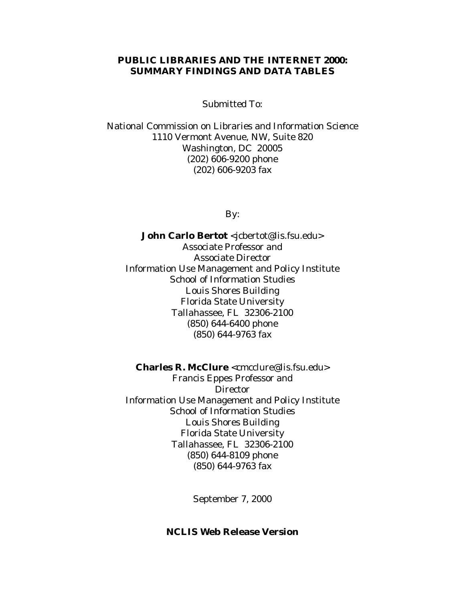#### **PUBLIC LIBRARIES AND THE INTERNET 2000: SUMMARY FINDINGS AND DATA TABLES**

Submitted To:

National Commission on Libraries and Information Science 1110 Vermont Avenue, NW, Suite 820 Washington, DC 20005 (202) 606-9200 phone (202) 606-9203 fax

By:

John Carlo Bertot <jcbertot@lis.fsu.edu> Associate Professor and Associate Director Information Use Management and Policy Institute School of Information Studies Louis Shores Building Florida State University Tallahassee, FL 32306-2100 (850) 644-6400 phone (850) 644-9763 fax

**Charles R. McClure** <cmcclure@lis.fsu.edu> Francis Eppes Professor and Director Information Use Management and Policy Institute School of Information Studies Louis Shores Building Florida State University Tallahassee, FL 32306-2100 (850) 644-8109 phone (850) 644-9763 fax

September 7, 2000

#### **NCLIS Web Release Version**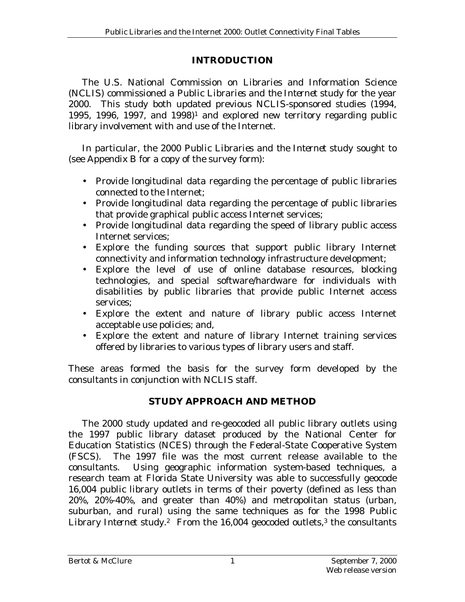## **INTRODUCTION**

 The U.S. National Commission on Libraries and Information Science (NCLIS) commissioned a *Public Libraries and the Internet* study for the year 2000. This study both updated previous NCLIS-sponsored studies (1994, 1995, 1996, 1997, and  $1998$ <sup>1</sup> and explored new territory regarding public library involvement with and use of the Internet.

 In particular, the 2000 *Public Libraries and the Internet* study sought to (see Appendix B for a copy of the survey form):

- Provide longitudinal data regarding the percentage of public libraries connected to the Internet;
- Provide longitudinal data regarding the percentage of public libraries that provide graphical public access Internet services;
- Provide longitudinal data regarding the speed of library public access Internet services;
- Explore the funding sources that support public library Internet connectivity and information technology infrastructure development;
- Explore the level of use of online database resources, blocking technologies, and special software/hardware for individuals with disabilities by public libraries that provide public Internet access services;
- Explore the extent and nature of library public access Internet acceptable use policies; and,
- Explore the extent and nature of library Internet training services offered by libraries to various types of library users and staff.

These areas formed the basis for the survey form developed by the consultants in conjunction with NCLIS staff.

# **STUDY APPROACH AND METHOD**

 The 2000 study updated and re-geocoded all public library outlets using the 1997 public library dataset produced by the National Center for Education Statistics (NCES) through the Federal-State Cooperative System (FSCS). The 1997 file was the most current release available to the consultants. Using geographic information system-based techniques, a research team at Florida State University was able to successfully geocode 16,004 public library outlets in terms of their poverty (defined as less than 20%, 20%-40%, and greater than 40%) and metropolitan status (urban, suburban, and rural) using the same techniques as for the 1998 *Public Library Internet* study.<sup>2</sup> From the 16,004 geocoded outlets,<sup>3</sup> the consultants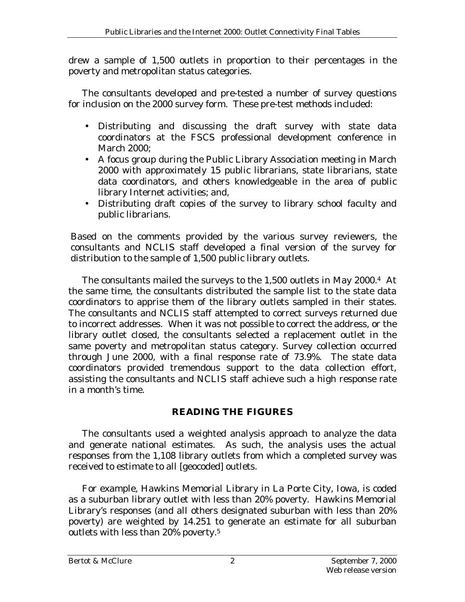drew a sample of 1,500 outlets in proportion to their percentages in the poverty and metropolitan status categories.

 The consultants developed and pre-tested a number of survey questions for inclusion on the 2000 survey form. These pre-test methods included:

- Distributing and discussing the draft survey with state data coordinators at the FSCS professional development conference in March 2000;
- A focus group during the Public Library Association meeting in March 2000 with approximately 15 public librarians, state librarians, state data coordinators, and others knowledgeable in the area of public library Internet activities; and,
- Distributing draft copies of the survey to library school faculty and public librarians.

Based on the comments provided by the various survey reviewers, the consultants and NCLIS staff developed a final version of the survey for distribution to the sample of 1,500 public library outlets.

 The consultants mailed the surveys to the 1,500 outlets in May 2000.4 At the same time, the consultants distributed the sample list to the state data coordinators to apprise them of the library outlets sampled in their states. The consultants and NCLIS staff attempted to correct surveys returned due to incorrect addresses. When it was not possible to correct the address, or the library outlet closed, the consultants selected a replacement outlet in the same poverty and metropolitan status category. Survey collection occurred through June 2000, with a final response rate of 73.9%. The state data coordinators provided tremendous support to the data collection effort, assisting the consultants and NCLIS staff achieve such a high response rate in a month's time.

# **READING THE FIGURES**

 The consultants used a weighted analysis approach to analyze the data and generate national estimates. As such, the analysis uses the actual responses from the 1,108 library outlets from which a completed survey was received to estimate to all [geocoded] outlets.

 For example, Hawkins Memorial Library in La Porte City, Iowa, is coded as a suburban library outlet with less than 20% poverty. Hawkins Memorial Library's responses (and all others designated suburban with less than 20% poverty) are weighted by 14.251 to generate an estimate for all suburban outlets with less than  $20\%$  poverty.<sup>5</sup>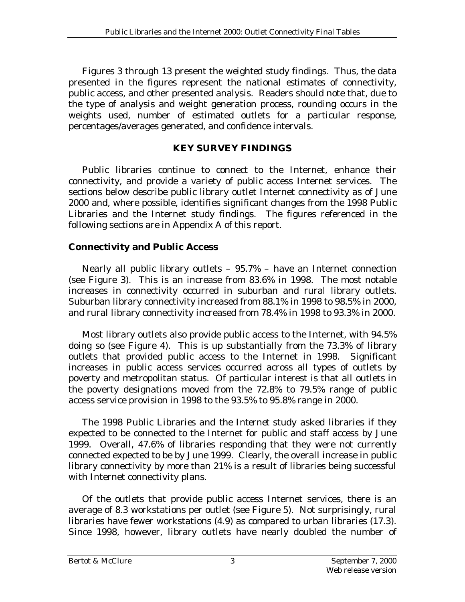Figures 3 through 13 present the *weighted* study findings. Thus, the data presented in the figures represent the *national estimates* of connectivity, public access, and other presented analysis. Readers should note that, due to the type of analysis and weight generation process, rounding occurs in the weights used, number of estimated outlets for a particular response, percentages/averages generated, and confidence intervals.

#### **KEY SURVEY FINDINGS**

 Public libraries continue to connect to the Internet, enhance their connectivity, and provide a variety of public access Internet services. The sections below describe public library outlet Internet connectivity as of June 2000 and, where possible, identifies significant changes from the 1998 Public Libraries and the Internet study findings. The figures referenced in the following sections are in Appendix A of this report.

### **Connectivity and Public Access**

 Nearly all public library outlets – 95.7% – have an Internet connection (see Figure 3). This is an increase from 83.6% in 1998. The most notable increases in connectivity occurred in suburban and rural library outlets. Suburban library connectivity increased from 88.1% in 1998 to 98.5% in 2000, and rural library connectivity increased from 78.4% in 1998 to 93.3% in 2000.

 Most library outlets also provide public access to the Internet, with 94.5% doing so (see Figure 4). This is up substantially from the 73.3% of library outlets that provided public access to the Internet in 1998. Significant increases in public access services occurred across all types of outlets by poverty and metropolitan status. Of particular interest is that all outlets in the poverty designations moved from the 72.8% to 79.5% range of public access service provision in 1998 to the 93.5% to 95.8% range in 2000.

 The 1998 *Public Libraries and the Internet* study asked libraries if they expected to be connected to the Internet for public and staff access by June 1999. Overall, 47.6% of libraries responding that they were not currently connected expected to be by June 1999. Clearly, the overall increase in public library connectivity by more than 21% is a result of libraries being successful with Internet connectivity plans.

 Of the outlets that provide public access Internet services, there is an average of 8.3 workstations per outlet (see Figure 5). Not surprisingly, rural libraries have fewer workstations (4.9) as compared to urban libraries (17.3). Since 1998, however, library outlets have nearly doubled the number of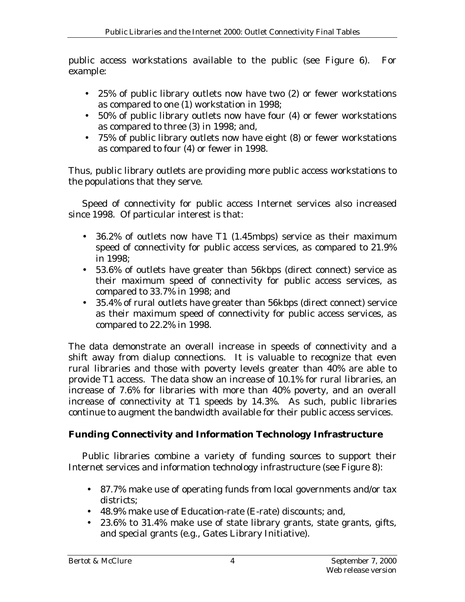public access workstations available to the public (see Figure 6). For example:

- 25% of public library outlets now have two (2) or fewer workstations as compared to one (1) workstation in 1998;
- 50% of public library outlets now have four (4) or fewer workstations as compared to three (3) in 1998; and,
- 75% of public library outlets now have eight (8) or fewer workstations as compared to four (4) or fewer in 1998.

Thus, public library outlets are providing more public access workstations to the populations that they serve.

 Speed of connectivity for public access Internet services also increased since 1998. Of particular interest is that:

- 36.2% of outlets now have T1 (1.45mbps) service as their maximum speed of connectivity for public access services, as compared to 21.9% in 1998;
- 53.6% of outlets have greater than 56kbps (direct connect) service as their maximum speed of connectivity for public access services, as compared to 33.7% in 1998; and
- 35.4% of rural outlets have greater than 56kbps (direct connect) service as their maximum speed of connectivity for public access services, as compared to 22.2% in 1998.

The data demonstrate an overall increase in speeds of connectivity and a shift away from dialup connections. It is valuable to recognize that even rural libraries and those with poverty levels greater than 40% are able to provide T1 access. The data show an increase of 10.1% for rural libraries, an increase of 7.6% for libraries with more than 40% poverty, and an overall increase of connectivity at T1 speeds by 14.3%. As such, public libraries continue to augment the bandwidth available for their public access services.

# **Funding Connectivity and Information Technology Infrastructure**

 Public libraries combine a variety of funding sources to support their Internet services and information technology infrastructure (see Figure 8):

- 87.7% make use of operating funds from local governments and/or tax districts;
- 48.9% make use of Education-rate (E-rate) discounts; and,
- 23.6% to 31.4% make use of state library grants, state grants, gifts, and special grants (e.g., Gates Library Initiative).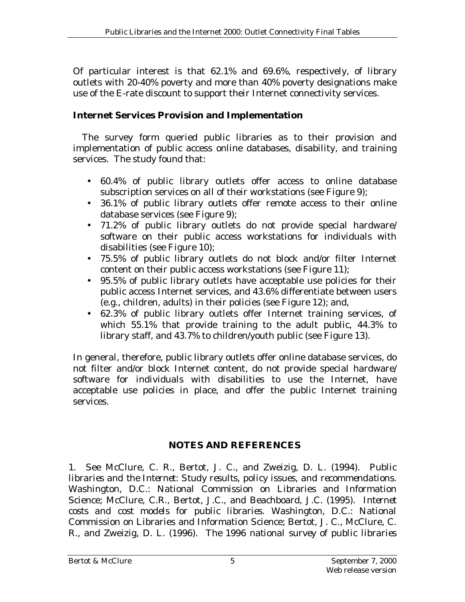Of particular interest is that 62.1% and 69.6%, respectively, of library outlets with 20-40% poverty and more than 40% poverty designations make use of the E-rate discount to support their Internet connectivity services.

### **Internet Services Provision and Implementation**

 The survey form queried public libraries as to their provision and implementation of public access online databases, disability, and training services. The study found that:

- 60.4% of public library outlets offer access to online database subscription services on all of their workstations (see Figure 9);
- 36.1% of public library outlets offer remote access to their online database services (see Figure 9);
- 71.2% of public library outlets do not provide special hardware/ software on their public access workstations for individuals with disabilities (see Figure 10);
- 75.5% of public library outlets do not block and/or filter Internet content on their public access workstations (see Figure 11);
- 95.5% of public library outlets have acceptable use policies for their public access Internet services, and 43.6% differentiate between users (e.g., children, adults) in their policies (see Figure 12); and,
- 62.3% of public library outlets offer Internet training services, of which 55.1% that provide training to the adult public, 44.3% to library staff, and 43.7% to children/youth public (see Figure 13).

In general, therefore, public library outlets offer online database services, do not filter and/or block Internet content, do not provide special hardware/ software for individuals with disabilities to use the Internet, have acceptable use policies in place, and offer the public Internet training services.

# **NOTES AND REFERENCES**

1. See McClure, C. R., Bertot, J. C., and Zweizig, D. L. (1994). *Public libraries and the Internet: Study results, policy issues, and recommendations*. Washington, D.C.: National Commission on Libraries and Information Science; McClure, C.R., Bertot, J.C., and Beachboard, J.C. (1995). *Internet costs and cost models for public libraries*. Washington, D.C.: National Commission on Libraries and Information Science; Bertot, J. C., McClure, C. R., and Zweizig, D. L. (1996). *The 1996 national survey of public libraries*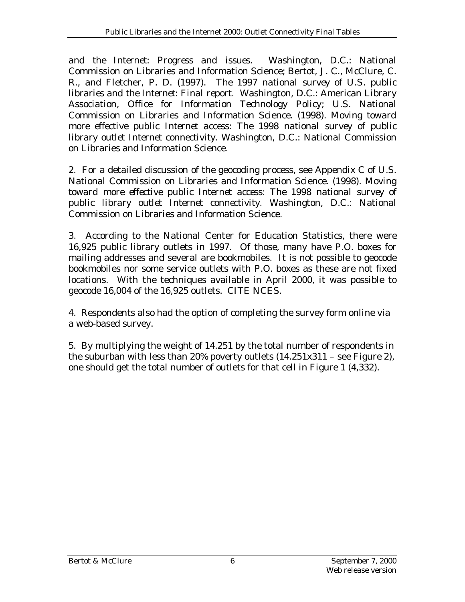*and the Internet: Progress and issues*. Washington, D.C.: National Commission on Libraries and Information Science; Bertot, J. C., McClure, C. R., and Fletcher, P. D. (1997). *The 1997 national survey of U.S. public libraries and the Internet: Final report*. Washington, D.C.: American Library Association, Office for Information Technology Policy; U.S. National Commission on Libraries and Information Science. (1998). *Moving toward more effective public Internet access: The 1998 national survey of public library outlet Internet connectivity*. Washington, D.C.: National Commission on Libraries and Information Science.

2. For a detailed discussion of the geocoding process, see Appendix C of U.S. National Commission on Libraries and Information Science. (1998). *Moving toward more effective public Internet access: The 1998 national survey of public library outlet Internet connectivity*. Washington, D.C.: National Commission on Libraries and Information Science.

3. According to the National Center for Education Statistics, there were 16,925 public library outlets in 1997. Of those, many have P.O. boxes for mailing addresses and several are bookmobiles. It is not possible to geocode bookmobiles nor some service outlets with P.O. boxes as these are not fixed locations. With the techniques available in April 2000, it was possible to geocode 16,004 of the 16,925 outlets. CITE NCES.

4. Respondents also had the option of completing the survey form online via a web-based survey.

5. By multiplying the weight of 14.251 by the total number of respondents in the suburban with less than 20% poverty outlets  $(14.251x311 - \text{see Figure 2})$ , one should get the total number of outlets for that cell in Figure 1 (4,332).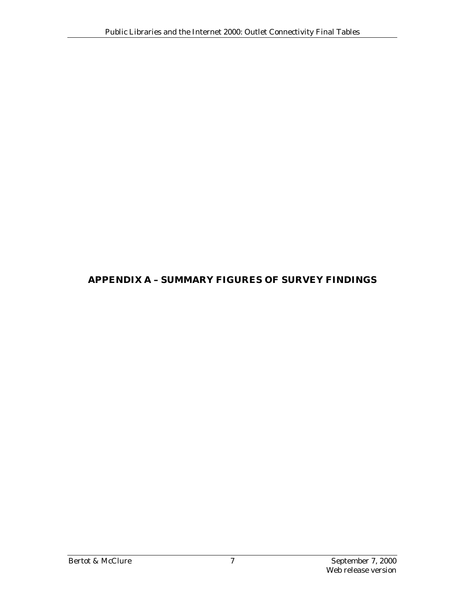## **APPENDIX A – SUMMARY FIGURES OF SURVEY FINDINGS**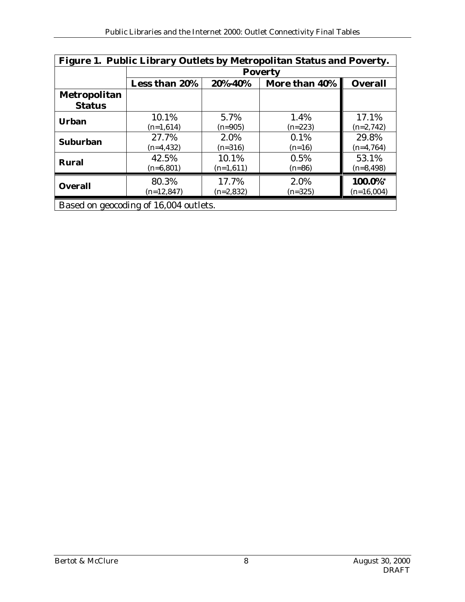| Figure 1. Public Library Outlets by Metropolitan Status and Poverty. |                                                             |             |           |              |  |  |  |  |  |
|----------------------------------------------------------------------|-------------------------------------------------------------|-------------|-----------|--------------|--|--|--|--|--|
|                                                                      | <b>Poverty</b>                                              |             |           |              |  |  |  |  |  |
|                                                                      | Less than 20%<br>More than 40%<br><b>Overall</b><br>20%-40% |             |           |              |  |  |  |  |  |
| Metropolitan                                                         |                                                             |             |           |              |  |  |  |  |  |
| <b>Status</b>                                                        |                                                             |             |           |              |  |  |  |  |  |
| <b>Urban</b>                                                         | 10.1%                                                       | 5.7%        | 1.4%      | 17.1%        |  |  |  |  |  |
|                                                                      | $(n=1,614)$                                                 | $(n=905)$   | $(n=223)$ | $(n=2,742)$  |  |  |  |  |  |
| <b>Suburban</b>                                                      | 27.7%                                                       | 2.0%        | 0.1%      | 29.8%        |  |  |  |  |  |
|                                                                      | $(n=4, 432)$                                                | $(n=316)$   | $(n=16)$  | $(n=4,764)$  |  |  |  |  |  |
| <b>Rural</b>                                                         | 42.5%                                                       | 10.1%       | 0.5%      | 53.1%        |  |  |  |  |  |
|                                                                      | $(n=6,801)$                                                 | $(n=1,611)$ | $(n=86)$  | $(n=8, 498)$ |  |  |  |  |  |
|                                                                      | 80.3%                                                       | 17.7%       | 2.0%      | 100.0%*      |  |  |  |  |  |
| <b>Overall</b>                                                       | $(n=12,847)$                                                | $(n=2,832)$ | $(n=325)$ | $(n=16,004)$ |  |  |  |  |  |
| Based on geocoding of 16,004 outlets.                                |                                                             |             |           |              |  |  |  |  |  |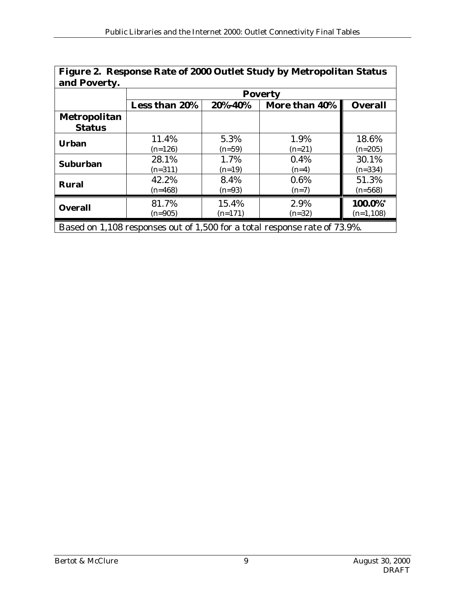| Figure 2. Response Rate of 2000 Outlet Study by Metropolitan Status<br>and Poverty. |                      |           |               |                |  |  |  |  |
|-------------------------------------------------------------------------------------|----------------------|-----------|---------------|----------------|--|--|--|--|
|                                                                                     | <b>Poverty</b>       |           |               |                |  |  |  |  |
|                                                                                     | <b>Less than 20%</b> | 20%-40%   | More than 40% | <b>Overall</b> |  |  |  |  |
| <b>Metropolitan</b>                                                                 |                      |           |               |                |  |  |  |  |
| <b>Status</b>                                                                       |                      |           |               |                |  |  |  |  |
| <b>Urban</b>                                                                        | 11.4%                | 5.3%      | 1.9%          | 18.6%          |  |  |  |  |
|                                                                                     | $(n=126)$            | $(n=59)$  | $(n=21)$      | $(n=205)$      |  |  |  |  |
| <b>Suburban</b>                                                                     | 28.1%                | 1.7%      | 0.4%          | 30.1%          |  |  |  |  |
|                                                                                     | $(n=311)$            | $(n=19)$  | $(n=4)$       | $(n=334)$      |  |  |  |  |
| <b>Rural</b>                                                                        | 42.2%                | 8.4%      | 0.6%          | 51.3%          |  |  |  |  |
|                                                                                     | $(n=468)$            | $(n=93)$  | $(n=7)$       | $(n=568)$      |  |  |  |  |
|                                                                                     | 81.7%                | 15.4%     | 2.9%          | 100.0%*        |  |  |  |  |
| <b>Overall</b>                                                                      | $(n=905)$            | $(n=171)$ | $(n=32)$      | $(n=1,108)$    |  |  |  |  |
| Based on 1,108 responses out of 1,500 for a total response rate of 73.9%.           |                      |           |               |                |  |  |  |  |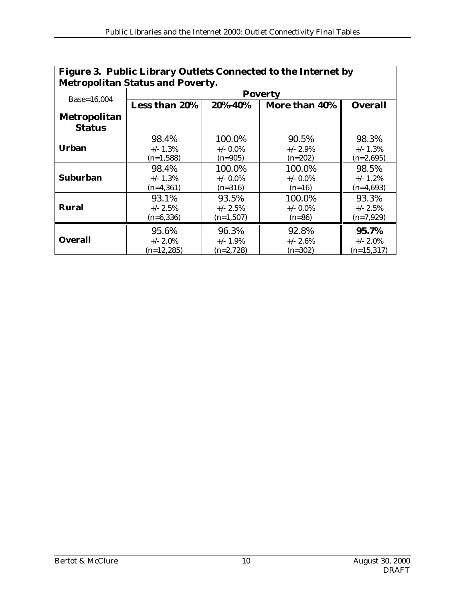| Figure 3. Public Library Outlets Connected to the Internet by |                      |             |               |                |  |  |  |  |  |  |
|---------------------------------------------------------------|----------------------|-------------|---------------|----------------|--|--|--|--|--|--|
| <b>Metropolitan Status and Poverty.</b>                       |                      |             |               |                |  |  |  |  |  |  |
|                                                               | <b>Poverty</b>       |             |               |                |  |  |  |  |  |  |
| Base=16,004                                                   | <b>Less than 20%</b> | 20%-40%     | More than 40% | <b>Overall</b> |  |  |  |  |  |  |
| Metropolitan                                                  |                      |             |               |                |  |  |  |  |  |  |
| <b>Status</b>                                                 |                      |             |               |                |  |  |  |  |  |  |
| <b>Urban</b>                                                  | 98.4%                | 100.0%      | 90.5%         | 98.3%          |  |  |  |  |  |  |
|                                                               | $+/- 1.3%$           | $+/-$ 0.0%  | $+/- 2.9\%$   | $+/- 1.3%$     |  |  |  |  |  |  |
|                                                               | $(n=1,588)$          | $(n=905)$   | $(n=202)$     | $(n=2,695)$    |  |  |  |  |  |  |
|                                                               | 98.4%                | 100.0%      | 100.0%        | 98.5%          |  |  |  |  |  |  |
| <b>Suburban</b>                                               | $+/- 1.3%$           | $+/-$ 0.0%  | $+/-$ 0.0%    | $+/- 1.2\%$    |  |  |  |  |  |  |
|                                                               | $(n=4,361)$          | $(n=316)$   | $(n=16)$      | $(n=4,693)$    |  |  |  |  |  |  |
|                                                               | 93.1%                | 93.5%       | 100.0%        | 93.3%          |  |  |  |  |  |  |
| <b>Rural</b>                                                  | $+/- 2.5%$           | $+/- 2.5\%$ | $+/-$ 0.0%    | $+/- 2.5%$     |  |  |  |  |  |  |
|                                                               | $(n=6, 336)$         | $(n=1,507)$ | $(n=86)$      | $(n=7,929)$    |  |  |  |  |  |  |
|                                                               | 95.6%                | 96.3%       | 92.8%         | 95.7%          |  |  |  |  |  |  |
| <b>Overall</b>                                                | $+/- 2.0\%$          | $+/- 1.9\%$ | $+/- 2.6%$    | $+/- 2.0\%$    |  |  |  |  |  |  |
|                                                               | $(n=12,285)$         | $(n=2,728)$ | $(n=302)$     | $(n=15,317)$   |  |  |  |  |  |  |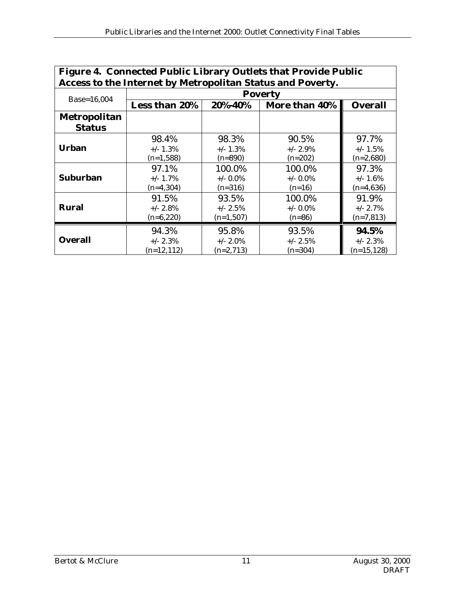| Figure 4. Connected Public Library Outlets that Provide Public |                |             |               |                |  |  |  |  |  |
|----------------------------------------------------------------|----------------|-------------|---------------|----------------|--|--|--|--|--|
| Access to the Internet by Metropolitan Status and Poverty.     |                |             |               |                |  |  |  |  |  |
|                                                                | <b>Poverty</b> |             |               |                |  |  |  |  |  |
| Base=16,004                                                    | Less than 20%  | 20%-40%     | More than 40% | <b>Overall</b> |  |  |  |  |  |
| Metropolitan                                                   |                |             |               |                |  |  |  |  |  |
| <b>Status</b>                                                  |                |             |               |                |  |  |  |  |  |
| <b>Urban</b>                                                   | 98.4%          | 98.3%       | 90.5%         | 97.7%          |  |  |  |  |  |
|                                                                | $+/- 1.3%$     | $+/- 1.3%$  | $+/- 2.9\%$   | $+/- 1.5\%$    |  |  |  |  |  |
|                                                                | $(n=1,588)$    | $(n=890)$   | $(n=202)$     | $(n=2,680)$    |  |  |  |  |  |
|                                                                | 97.1%          | 100.0%      | 100.0%        | 97.3%          |  |  |  |  |  |
| <b>Suburban</b>                                                | $+/- 1.7%$     | $+/-$ 0.0%  | $+/-$ 0.0%    | $+/- 1.6%$     |  |  |  |  |  |
|                                                                | $(n=4,304)$    | $(n=316)$   | $(n=16)$      | $(n=4,636)$    |  |  |  |  |  |
|                                                                | 91.5%          | 93.5%       | 100.0%        | 91.9%          |  |  |  |  |  |
| <b>Rural</b>                                                   | $+/- 2.8%$     | $+/- 2.5\%$ | $+/-$ 0.0%    | $+/- 2.7\%$    |  |  |  |  |  |
|                                                                | $(n=6,220)$    | $(n=1,507)$ | $(n=86)$      | $(n=7,813)$    |  |  |  |  |  |
|                                                                | 94.3%          | 95.8%       | 93.5%         | 94.5%          |  |  |  |  |  |
| <b>Overall</b>                                                 | $+/- 2.3%$     | $+/- 2.0\%$ | $+/- 2.5%$    | $+/- 2.3%$     |  |  |  |  |  |
|                                                                | $(n=12, 112)$  | $(n=2,713)$ | $(n=304)$     | $(n=15, 128)$  |  |  |  |  |  |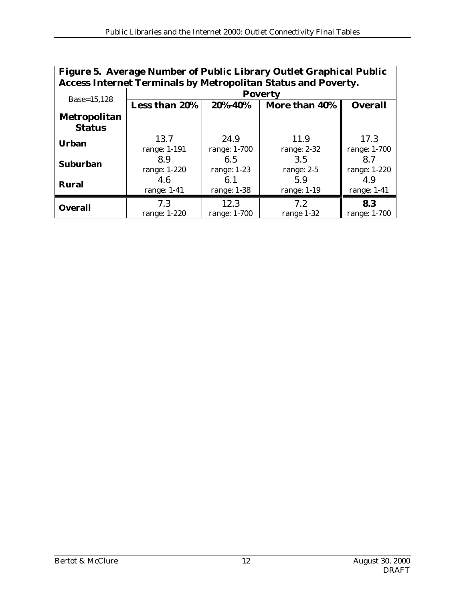| Figure 5. Average Number of Public Library Outlet Graphical Public<br><b>Access Internet Terminals by Metropolitan Status and Poverty.</b> |                      |              |               |                |  |  |  |  |  |
|--------------------------------------------------------------------------------------------------------------------------------------------|----------------------|--------------|---------------|----------------|--|--|--|--|--|
|                                                                                                                                            | <b>Poverty</b>       |              |               |                |  |  |  |  |  |
| Base=15,128                                                                                                                                | <b>Less than 20%</b> | 20%-40%      | More than 40% | <b>Overall</b> |  |  |  |  |  |
| <b>Metropolitan</b>                                                                                                                        |                      |              |               |                |  |  |  |  |  |
| <b>Status</b>                                                                                                                              |                      |              |               |                |  |  |  |  |  |
| <b>Urban</b>                                                                                                                               | 13.7                 | 24.9         | 11.9          | 17.3           |  |  |  |  |  |
|                                                                                                                                            | range: 1-191         | range: 1-700 | range: 2-32   | range: 1-700   |  |  |  |  |  |
| <b>Suburban</b>                                                                                                                            | 8.9                  | 6.5          | 3.5           | 8.7            |  |  |  |  |  |
|                                                                                                                                            | range: 1-220         | range: 1-23  | range: 2-5    | range: 1-220   |  |  |  |  |  |
| <b>Rural</b>                                                                                                                               | 4.6                  | 6.1          | 5.9           | 4.9            |  |  |  |  |  |
|                                                                                                                                            | range: 1-41          | range: 1-38  | range: 1-19   | range: $1-41$  |  |  |  |  |  |
| <b>Overall</b>                                                                                                                             | 7.3                  | 12.3         | 7.2           | 8.3            |  |  |  |  |  |
|                                                                                                                                            | range: 1-220         | range: 1-700 | range 1-32    | range: 1-700   |  |  |  |  |  |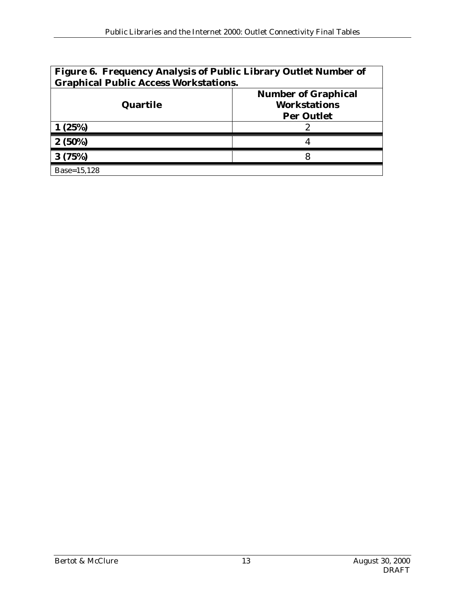| Figure 6. Frequency Analysis of Public Library Outlet Number of<br><b>Graphical Public Access Workstations.</b> |                                                                        |  |  |  |  |  |
|-----------------------------------------------------------------------------------------------------------------|------------------------------------------------------------------------|--|--|--|--|--|
| Quartile                                                                                                        | <b>Number of Graphical</b><br><b>Workstations</b><br><b>Per Outlet</b> |  |  |  |  |  |
| (25%)                                                                                                           |                                                                        |  |  |  |  |  |
| $2(50\%)$                                                                                                       |                                                                        |  |  |  |  |  |
| 3(75%)                                                                                                          |                                                                        |  |  |  |  |  |
| Base=15.128                                                                                                     |                                                                        |  |  |  |  |  |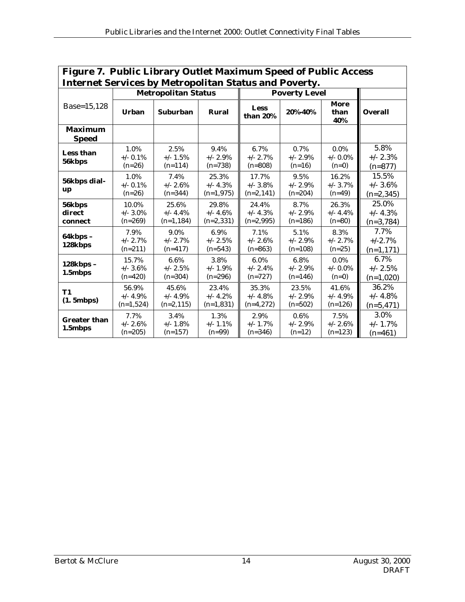| Figure 7. Public Library Outlet Maximum Speed of Public Access |                                    |                                     |                                     |                                      |                                   |                                  |                                      |  |
|----------------------------------------------------------------|------------------------------------|-------------------------------------|-------------------------------------|--------------------------------------|-----------------------------------|----------------------------------|--------------------------------------|--|
| <b>Internet Services by Metropolitan Status and Poverty.</b>   |                                    |                                     |                                     |                                      |                                   |                                  |                                      |  |
|                                                                |                                    | <b>Metropolitan Status</b>          |                                     |                                      | <b>Poverty Level</b>              |                                  |                                      |  |
| Base=15,128                                                    | <b>Urban</b>                       | <b>Suburban</b>                     | Rural                               | Less<br>than 20%                     | 20%-40%                           | More<br>than<br>40%              | <b>Overall</b>                       |  |
| <b>Maximum</b><br><b>Speed</b>                                 |                                    |                                     |                                     |                                      |                                   |                                  |                                      |  |
| Less than<br>56kbps                                            | 1.0%<br>$+/-$ 0.1%<br>$(n=26)$     | 2.5%<br>$+/- 1.5%$<br>$(n=114)$     | 9.4%<br>$+/- 2.9\%$<br>$(n=738)$    | 6.7%<br>$+/- 2.7\%$<br>$(n=808)$     | 0.7%<br>$+/- 2.9%$<br>$(n=16)$    | 0.0%<br>$+/-$ 0.0%<br>$(n=0)$    | 5.8%<br>$+/- 2.3%$<br>$(n=877)$      |  |
| 56kbps dial-<br>up                                             | 1.0%<br>$+/-$ 0.1%<br>$(n=26)$     | 7.4%<br>$+/- 2.6%$<br>$(n=344)$     | 25.3%<br>$+/- 4.3%$<br>$(n=1,975)$  | 17.7%<br>$+/- 3.8\%$<br>$(n=2, 141)$ | 9.5%<br>$+/- 2.9%$<br>$(n=204)$   | 16.2%<br>$+/- 3.7\%$<br>$(n=49)$ | 15.5%<br>$+/- 3.6%$<br>$(n=2,345)$   |  |
| 56kbps<br>direct<br>connect                                    | 10.0%<br>$+/- 3.0\%$<br>$(n=269)$  | 25.6%<br>$+/- 4.4%$<br>$(n=1, 184)$ | 29.8%<br>$+/- 4.6%$<br>$(n=2,331)$  | 24.4%<br>$+/- 4.3%$<br>$(n=2,995)$   | 8.7%<br>$+/- 2.9%$<br>$(n=186)$   | 26.3%<br>$+/- 4.4%$<br>$(n=80)$  | 25.0%<br>$+/- 4.3%$<br>$(n=3,784)$   |  |
| $64kbps -$<br>128kbps                                          | 7.9%<br>$+/- 2.7%$<br>$(n=211)$    | 9.0%<br>$+/- 2.7%$<br>$(n=417)$     | 6.9%<br>$+/- 2.5%$<br>$(n=543)$     | 7.1%<br>$+/- 2.6%$<br>$(n=863)$      | 5.1%<br>$+/- 2.9%$<br>$(n=108)$   | 8.3%<br>$+/- 2.7\%$<br>$(n=25)$  | 7.7%<br>$+/-2.7%$<br>$(n=1, 171)$    |  |
| 128kbps -<br>1.5mbps                                           | 15.7%<br>$+/- 3.6\%$<br>$(n=420)$  | 6.6%<br>$+/- 2.5%$<br>$(n=304)$     | 3.8%<br>$+/- 1.9\%$<br>$(n=296)$    | 6.0%<br>$+/- 2.4%$<br>$(n=727)$      | 6.8%<br>$+/- 2.9%$<br>$(n=146)$   | 0.0%<br>$+/-$ 0.0%<br>$(n=0)$    | 6.7%<br>$+/- 2.5%$<br>$(n=1,020)$    |  |
| <b>T1</b><br>(1.5mbps)                                         | 56.9%<br>$+/- 4.9%$<br>$(n=1,524)$ | 45.6%<br>$+/- 4.9%$<br>$(n=2, 115)$ | 23.4%<br>$+/- 4.2\%$<br>$(n=1,831)$ | 35.3%<br>$+/- 4.8%$<br>$(n=4,272)$   | 23.5%<br>$+/- 2.9\%$<br>$(n=502)$ | 41.6%<br>$+/- 4.9%$<br>$(n=126)$ | 36.2%<br>$+/- 4.8\%$<br>$(n=5, 471)$ |  |
| <b>Greater than</b><br>1.5mbps                                 | 7.7%<br>$+/- 2.6%$<br>$(n=205)$    | 3.4%<br>$+/- 1.8%$<br>$(n=157)$     | 1.3%<br>$+/- 1.1\%$<br>$(n=99)$     | 2.9%<br>$+/- 1.7\%$<br>$(n=346)$     | 0.6%<br>$+/- 2.9%$<br>$(n=12)$    | 7.5%<br>$+/- 2.6%$<br>$(n=123)$  | 3.0%<br>$+/- 1.7%$<br>$(n=461)$      |  |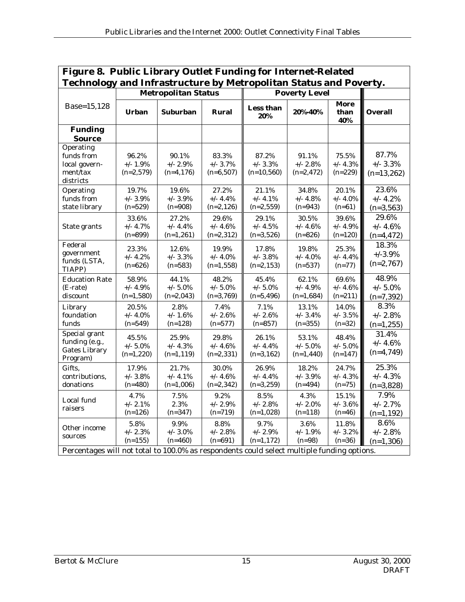| Figure 8. Public Library Outlet Funding for Internet-Related                               |                                                                   |                                     |                                     |                                     |                                     |                                  |                                     |  |
|--------------------------------------------------------------------------------------------|-------------------------------------------------------------------|-------------------------------------|-------------------------------------|-------------------------------------|-------------------------------------|----------------------------------|-------------------------------------|--|
|                                                                                            | Technology and Infrastructure by Metropolitan Status and Poverty. |                                     |                                     |                                     |                                     |                                  |                                     |  |
|                                                                                            |                                                                   | <b>Metropolitan Status</b>          |                                     |                                     | <b>Poverty Level</b>                |                                  |                                     |  |
| Base=15,128                                                                                | <b>Urban</b>                                                      | <b>Suburban</b>                     | Rural                               | Less than<br>20%                    | 20%-40%                             | More<br>than<br>40%              | <b>Overall</b>                      |  |
| <b>Funding</b><br><b>Source</b>                                                            |                                                                   |                                     |                                     |                                     |                                     |                                  |                                     |  |
| Operating<br>funds from<br>local govern-<br>ment/tax<br>districts                          | 96.2%<br>$+/- 1.9\%$<br>$(n=2,579)$                               | 90.1%<br>$+/- 2.9%$<br>$(n=4, 176)$ | 83.3%<br>$+/- 3.7%$<br>$(n=6,507)$  | 87.2%<br>$+/- 3.3%$<br>$(n=10,560)$ | 91.1%<br>$+/- 2.8%$<br>$(n=2,472)$  | 75.5%<br>$+/- 4.3%$<br>$(n=229)$ | 87.7%<br>$+/- 3.3%$<br>$(n=13,262)$ |  |
| Operating<br>funds from<br>state library                                                   | 19.7%<br>$+/- 3.9\%$<br>$(n=529)$                                 | 19.6%<br>$+/- 3.9%$<br>$(n=908)$    | 27.2%<br>$+/- 4.4%$<br>$(n=2,126)$  | 21.1%<br>$+/- 4.1%$<br>$(n=2, 559)$ | 34.8%<br>$+/- 4.8%$<br>$(n=943)$    | 20.1%<br>$+/- 4.0\%$<br>$(n=61)$ | 23.6%<br>$+/- 4.2%$<br>$(n=3, 563)$ |  |
| State grants                                                                               | 33.6%<br>$+/- 4.7\%$<br>$(n=899)$                                 | 27.2%<br>$+/- 4.4%$<br>$(n=1,261)$  | 29.6%<br>$+/- 4.6%$<br>$(n=2,312)$  | 29.1%<br>$+/- 4.5%$<br>$(n=3,526)$  | 30.5%<br>$+/- 4.6%$<br>$(n=826)$    | 39.6%<br>$+/- 4.9%$<br>$(n=120)$ | 29.6%<br>$+/- 4.6%$<br>$(n=4, 472)$ |  |
| Federal<br>government<br>funds (LSTA,<br>TIAPP)                                            | 23.3%<br>$+/- 4.2%$<br>$(n=626)$                                  | 12.6%<br>$+/- 3.3%$<br>$(n=583)$    | 19.9%<br>$+/- 4.0%$<br>$(n=1, 558)$ | 17.8%<br>$+/- 3.8%$<br>$(n=2, 153)$ | 19.8%<br>$+/- 4.0%$<br>$(n=537)$    | 25.3%<br>$+/- 4.4%$<br>$(n=77)$  | 18.3%<br>$+/-3.9%$<br>$(n=2,767)$   |  |
| <b>Education Rate</b><br>(E-rate)<br>discount                                              | 58.9%<br>+/- 4.9%<br>$(n=1,580)$                                  | 44.1%<br>$+/- 5.0%$<br>$(n=2,043)$  | 48.2%<br>$+/- 5.0%$<br>$(n=3,769)$  | 45.4%<br>$+/- 5.0%$<br>$(n=5, 496)$ | 62.1%<br>$+/- 4.9%$<br>$(n=1,684)$  | 69.6%<br>$+/- 4.6%$<br>$(n=211)$ | 48.9%<br>$+/- 5.0%$<br>$(n=7,392)$  |  |
| Library<br>foundation<br>funds                                                             | 20.5%<br>$+/- 4.0%$<br>$(n=549)$                                  | 2.8%<br>$+/- 1.6%$<br>$(n=128)$     | 7.4%<br>$+/- 2.6%$<br>$(n=577)$     | 7.1%<br>$+/- 2.6%$<br>$(n=857)$     | 13.1%<br>$+/- 3.4%$<br>$(n=355)$    | 14.0%<br>$+/- 3.5%$<br>$(n=32)$  | 8.3%<br>$+/- 2.8%$<br>$(n=1,255)$   |  |
| Special grant<br>funding (e.g.,<br><b>Gates Library</b><br>Program)                        | 45.5%<br>$+/- 5.0\%$<br>$(n=1,220)$                               | 25.9%<br>$+/- 4.3%$<br>$(n=1, 119)$ | 29.8%<br>$+/- 4.6%$<br>$(n=2,331)$  | 26.1%<br>$+/- 4.4%$<br>$(n=3, 162)$ | 53.1%<br>$+/- 5.0\%$<br>$(n=1,440)$ | 48.4%<br>$+/- 5.0%$<br>$(n=147)$ | 31.4%<br>$+/- 4.6%$<br>$(n=4,749)$  |  |
| Gifts.<br>contributions,<br>donations                                                      | 17.9%<br>$+/- 3.8%$<br>$(n=480)$                                  | 21.7%<br>$+/- 4.1\%$<br>$(n=1,006)$ | 30.0%<br>$+/- 4.6%$<br>$(n=2,342)$  | 26.9%<br>$+/- 4.4%$<br>$(n=3,259)$  | 18.2%<br>$+/- 3.9%$<br>$(n=494)$    | 24.7%<br>$+/- 4.3%$<br>$(n=75)$  | 25.3%<br>$+/- 4.3%$<br>$(n=3,828)$  |  |
| Local fund<br>raisers                                                                      | 4.7%<br>$+/- 2.1%$<br>$(n=126)$                                   | 7.5%<br>2.3%<br>$(n=347)$           | 9.2%<br>$+/- 2.9%$<br>$(n=719)$     | 8.5%<br>$+/- 2.8%$<br>$(n=1,028)$   | 4.3%<br>$+/- 2.0%$<br>$(n=118)$     | 15.1%<br>$+/- 3.6%$<br>$(n=46)$  | 7.9%<br>$+/- 2.7%$<br>$(n=1, 192)$  |  |
| Other income<br>sources                                                                    | 5.8%<br>$+/- 2.3%$<br>$(n=155)$                                   | 9.9%<br>$+/- 3.0\%$<br>$(n=460)$    | 8.8%<br>$+/- 2.8%$<br>$(n=691)$     | 9.7%<br>$+/- 2.9%$<br>$(n=1,172)$   | 3.6%<br>$+/- 1.9%$<br>$(n=98)$      | 11.8%<br>$+/- 3.2%$<br>$(n=36)$  | 8.6%<br>$+/- 2.8%$<br>$(n=1,306)$   |  |
| Percentages will not total to 100.0% as respondents could select multiple funding options. |                                                                   |                                     |                                     |                                     |                                     |                                  |                                     |  |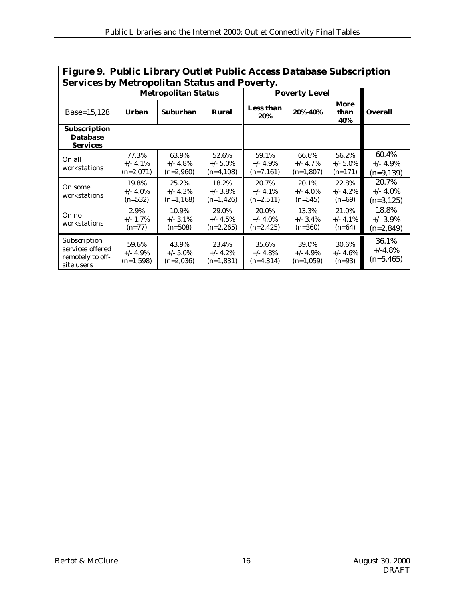| Figure 9. Public Library Outlet Public Access Database Subscription |                                     |                                     |                                      |                                      |                                     |                                   |                                      |
|---------------------------------------------------------------------|-------------------------------------|-------------------------------------|--------------------------------------|--------------------------------------|-------------------------------------|-----------------------------------|--------------------------------------|
| <b>Services by Metropolitan Status and Poverty.</b>                 |                                     |                                     |                                      |                                      |                                     |                                   |                                      |
|                                                                     |                                     | <b>Metropolitan Status</b>          |                                      |                                      | <b>Poverty Level</b>                |                                   |                                      |
| Base=15,128                                                         | <b>Urban</b>                        | <b>Suburban</b>                     | Rural                                | Less than<br>20%                     | 20%-40%                             | More<br>than<br>40%               | <b>Overall</b>                       |
| Subscription<br><b>Database</b><br><b>Services</b>                  |                                     |                                     |                                      |                                      |                                     |                                   |                                      |
| On all<br>workstations                                              | 77.3%<br>$+/- 4.1\%$<br>$(n=2,071)$ | 63.9%<br>$+/- 4.8%$<br>$(n=2,960)$  | 52.6%<br>$+/- 5.0\%$<br>$(n=4,108)$  | 59.1%<br>$+/- 4.9%$<br>$(n=7,161)$   | 66.6%<br>$+/- 4.7%$<br>$(n=1,807)$  | 56.2%<br>$+/- 5.0\%$<br>$(n=171)$ | 60.4%<br>$+/- 4.9%$<br>$(n=9, 139)$  |
| On some<br>workstations                                             | 19.8%<br>$+/- 4.0\%$<br>$(n=532)$   | 25.2%<br>$+/- 4.3\%$<br>$(n=1,168)$ | 18.2%<br>$+/- 3.8\%$<br>$(n=1, 426)$ | 20.7%<br>$+/- 4.1\%$<br>$(n=2,511)$  | 20.1%<br>$+/- 4.0\%$<br>$(n=545)$   | 22.8%<br>$+/- 4.2%$<br>$(n=69)$   | 20.7%<br>$+/- 4.0\%$<br>$(n=3, 125)$ |
| On no<br>workstations                                               | 2.9%<br>$+/- 1.7\%$<br>$(n=77)$     | 10.9%<br>$+/-$ 3.1%<br>$(n=508)$    | 29.0%<br>$+/- 4.5%$<br>$(n=2,265)$   | 20.0%<br>$+/- 4.0\%$<br>$(n=2, 425)$ | 13.3%<br>$+/- 3.4\%$<br>$(n=360)$   | 21.0%<br>$+/- 4.1\%$<br>$(n=64)$  | 18.8%<br>$+/- 3.9\%$<br>$(n=2,849)$  |
| Subscription<br>services offered<br>remotely to off-<br>site users  | 59.6%<br>$+/- 4.9\%$<br>$(n=1,598)$ | 43.9%<br>$+/- 5.0\%$<br>$(n=2,036)$ | 23.4%<br>$+/- 4.2%$<br>$(n=1,831)$   | 35.6%<br>$+/- 4.8%$<br>$(n=4,314)$   | 39.0%<br>$+/- 4.9\%$<br>$(n=1,059)$ | 30.6%<br>$+/- 4.6%$<br>$(n=93)$   | 36.1%<br>$+/-4.8%$<br>$(n=5, 465)$   |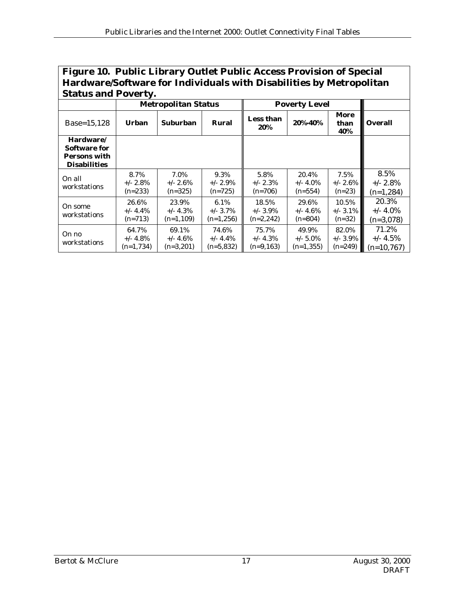| Figure 10. Public Library Outlet Public Access Provision of Special |
|---------------------------------------------------------------------|
| Hardware/Software for Individuals with Disabilities by Metropolitan |
| <b>Status and Poverty.</b>                                          |

|                                                                  | <b>Metropolitan Status</b>          |                                     | <b>Poverty Level</b>                |                                     |                                     |                                   |                                      |
|------------------------------------------------------------------|-------------------------------------|-------------------------------------|-------------------------------------|-------------------------------------|-------------------------------------|-----------------------------------|--------------------------------------|
| Base=15,128                                                      | <b>Urban</b>                        | <b>Suburban</b>                     | Rural                               | Less than<br>20%                    | 20%-40%                             | More<br>than<br>40%               | <b>Overall</b>                       |
| Hardware/<br>Software for<br>Persons with<br><b>Disabilities</b> |                                     |                                     |                                     |                                     |                                     |                                   |                                      |
| On all<br>workstations                                           | 8.7%<br>$+/- 2.8\%$<br>$(n=233)$    | 7.0%<br>$+/- 2.6\%$<br>$(n=325)$    | 9.3%<br>$+/- 2.9\%$<br>$(n=725)$    | 5.8%<br>$+/- 2.3\%$<br>$(n=706)$    | 20.4%<br>$+/- 4.0\%$<br>$(n=554)$   | 7.5%<br>$+/- 2.6\%$<br>$(n=23)$   | 8.5%<br>$+/- 2.8\%$<br>$(n=1,284)$   |
| On some<br>workstations                                          | 26.6%<br>$+/- 4.4\%$<br>$(n=713)$   | 23.9%<br>$+/- 4.3\%$<br>$(n=1,109)$ | 6.1%<br>$+/- 3.7\%$<br>$(n=1,256)$  | 18.5%<br>$+/- 3.9\%$<br>$(n=2,242)$ | 29.6%<br>$+/- 4.6\%$<br>$(n=804)$   | 10.5%<br>$+/-$ 3.1%<br>$(n=32)$   | 20.3%<br>$+/- 4.0\%$<br>$(n=3,078)$  |
| On no<br>workstations                                            | 64.7%<br>$+/- 4.8\%$<br>$(n=1,734)$ | 69.1%<br>$+/- 4.6\%$<br>$(n=3,201)$ | 74.6%<br>$+/- 4.4\%$<br>$(n=5,832)$ | 75.7%<br>$+/- 4.3\%$<br>$(n=9,163)$ | 49.9%<br>$+/- 5.0\%$<br>$(n=1,355)$ | 82.0%<br>$+/- 3.9\%$<br>$(n=249)$ | 71.2%<br>$+/- 4.5\%$<br>$(n=10.767)$ |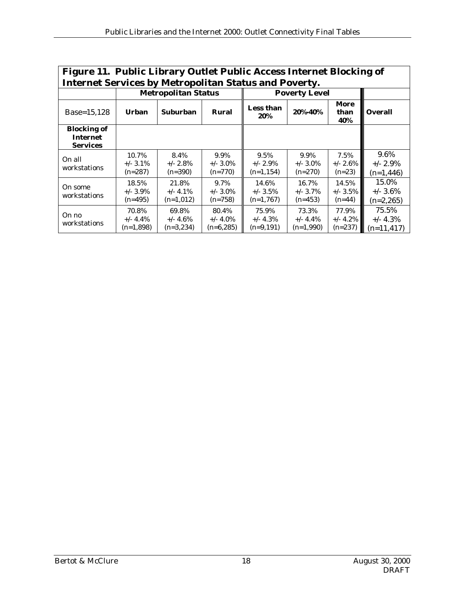| Figure 11. Public Library Outlet Public Access Internet Blocking of<br><b>Internet Services by Metropolitan Status and Poverty.</b> |                                   |                                     |                                     |                                     |                                     |                                  |                                      |  |
|-------------------------------------------------------------------------------------------------------------------------------------|-----------------------------------|-------------------------------------|-------------------------------------|-------------------------------------|-------------------------------------|----------------------------------|--------------------------------------|--|
|                                                                                                                                     |                                   | <b>Metropolitan Status</b>          |                                     |                                     | <b>Poverty Level</b>                |                                  |                                      |  |
| Base=15,128                                                                                                                         | <b>Urban</b>                      | <b>Suburban</b>                     | Rural                               | <b>Less than</b><br>20%             | 20%-40%                             | More<br>than<br>40%              | <b>Overall</b>                       |  |
| <b>Blocking of</b><br><b>Internet</b><br><b>Services</b>                                                                            |                                   |                                     |                                     |                                     |                                     |                                  |                                      |  |
| On all<br>workstations                                                                                                              | 10.7%<br>$+/-$ 3.1%<br>$(n=287)$  | 8.4%<br>$+/- 2.8\%$<br>$(n=390)$    | 9.9%<br>$+/- 3.0\%$<br>$(n=770)$    | 9.5%<br>$+/- 2.9\%$<br>$(n=1, 154)$ | 9.9%<br>$+/- 3.0\%$<br>$(n=270)$    | 7.5%<br>$+/- 2.6\%$<br>$(n=23)$  | 9.6%<br>$+/- 2.9\%$<br>$(n=1,446)$   |  |
| On some<br>workstations                                                                                                             | 18.5%<br>$+/- 3.9\%$<br>$(n=495)$ | 21.8%<br>$+/- 4.1\%$<br>$(n=1,012)$ | 9.7%<br>$+/- 3.0\%$<br>$(n=758)$    | 14.6%<br>$+/- 3.5\%$<br>$(n=1,767)$ | 16.7%<br>$+/- 3.7\%$<br>$(n=453)$   | 14.5%<br>$+/- 3.5\%$<br>$(n=44)$ | 15.0%<br>$+/- 3.6\%$<br>$(n=2,265)$  |  |
| On no<br>workstations                                                                                                               | 70.8%<br>$+/- 4.4\%$<br>(n=1,898) | 69.8%<br>$+/- 4.6\%$<br>$(n=3,234)$ | 80.4%<br>$+/- 4.0\%$<br>$(n=6,285)$ | 75.9%<br>$+/- 4.3\%$<br>$(n=9,191)$ | 73.3%<br>$+/- 4.4\%$<br>$(n=1,990)$ | 77.9%<br>$+/- 4.2%$<br>$(n=237)$ | 75.5%<br>$+/- 4.3%$<br>$(n=11, 417)$ |  |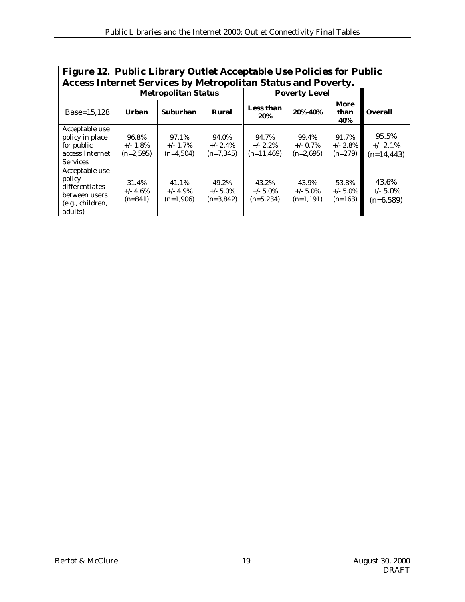| Figure 12. Public Library Outlet Acceptable Use Policies for Public<br><b>Access Internet Services by Metropolitan Status and Poverty.</b> |                                     |                                     |                                     |                                       |                                     |                                   |                                       |
|--------------------------------------------------------------------------------------------------------------------------------------------|-------------------------------------|-------------------------------------|-------------------------------------|---------------------------------------|-------------------------------------|-----------------------------------|---------------------------------------|
|                                                                                                                                            | <b>Metropolitan Status</b>          |                                     |                                     | <b>Poverty Level</b>                  |                                     |                                   |                                       |
| Base=15,128                                                                                                                                | Urhan                               | <b>Suburban</b>                     | Rural                               | Less than<br>20%                      | 20%-40%                             | More<br>than<br>40%               | <b>Overall</b>                        |
| Acceptable use<br>policy in place<br>for public<br>access Internet<br><b>Services</b>                                                      | 96.8%<br>$+/- 1.8\%$<br>$(n=2.595)$ | 97.1%<br>$+/- 1.7\%$<br>$(n=4,504)$ | 94.0%<br>$+/- 2.4\%$<br>$(n=7,345)$ | 94.7%<br>$+/- 2.2\%$<br>$(n=11, 469)$ | 99.4%<br>$+/-$ 0.7%<br>$(n=2.695)$  | 91.7%<br>$+/- 2.8\%$<br>$(n=279)$ | 95.5%<br>$+/- 2.1\%$<br>$(n=14, 443)$ |
| Acceptable use<br>policy<br>differentiates<br>between users<br>(e.g., children,<br>adults)                                                 | 31.4%<br>$+/- 4.6%$<br>$(n=841)$    | 41.1%<br>$+/- 4.9\%$<br>$(n=1,906)$ | 49.2%<br>$+/- 5.0\%$<br>$(n=3,842)$ | 43.2%<br>$+/- 5.0\%$<br>$(n=5,234)$   | 43.9%<br>$+/- 5.0\%$<br>$(n=1,191)$ | 53.8%<br>$+/- 5.0\%$<br>$(n=163)$ | 43.6%<br>$+/- 5.0\%$<br>$(n=6,589)$   |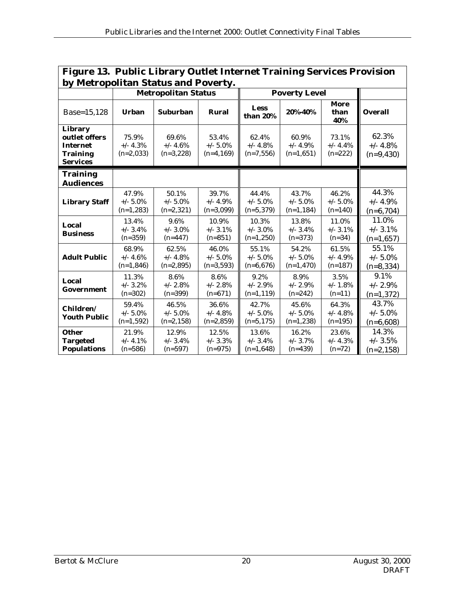| <b>Figure 13. Public Library Outlet Internet Training Services Provision</b>      |                                     |                                      |                                     |                                      |                                      |                                   |                                      |
|-----------------------------------------------------------------------------------|-------------------------------------|--------------------------------------|-------------------------------------|--------------------------------------|--------------------------------------|-----------------------------------|--------------------------------------|
| by Metropolitan Status and Poverty.                                               |                                     |                                      |                                     |                                      |                                      |                                   |                                      |
|                                                                                   | <b>Metropolitan Status</b>          |                                      |                                     | <b>Poverty Level</b>                 |                                      |                                   |                                      |
| Base=15,128                                                                       | <b>Urban</b>                        | <b>Suburban</b>                      | Rural                               | Less<br>than 20%                     | 20%-40%                              | More<br>than<br>40%               | <b>Overall</b>                       |
| Library<br>outlet offers<br><b>Internet</b><br><b>Training</b><br><b>Services</b> | 75.9%<br>$+/- 4.3%$<br>$(n=2,033)$  | 69.6%<br>$+/- 4.6%$<br>$(n=3,228)$   | 53.4%<br>$+/- 5.0\%$<br>$(n=4,169)$ | 62.4%<br>$+/- 4.8%$<br>$(n=7,556)$   | 60.9%<br>$+/- 4.9%$<br>$(n=1,651)$   | 73.1%<br>$+/- 4.4%$<br>$(n=222)$  | 62.3%<br>$+/- 4.8%$<br>$(n=9,430)$   |
| <b>Training</b><br><b>Audiences</b>                                               |                                     |                                      |                                     |                                      |                                      |                                   |                                      |
| <b>Library Staff</b>                                                              | 47.9%<br>$+/- 5.0\%$<br>$(n=1,283)$ | 50.1%<br>$+/- 5.0%$<br>$(n=2,321)$   | 39.7%<br>$+/- 4.9%$<br>$(n=3,099)$  | 44.4%<br>$+/- 5.0%$<br>$(n=5,379)$   | 43.7%<br>$+/- 5.0%$<br>$(n=1, 184)$  | 46.2%<br>$+/- 5.0\%$<br>$(n=140)$ | 44.3%<br>$+/- 4.9%$<br>$(n=6,704)$   |
| Local<br><b>Business</b>                                                          | 13.4%<br>$+/- 3.4%$<br>$(n=359)$    | 9.6%<br>$+/- 3.0\%$<br>$(n=447)$     | 10.9%<br>$+/- 3.1\%$<br>$(n=851)$   | 10.3%<br>$+/- 3.0\%$<br>$(n=1,250)$  | 13.8%<br>$+/- 3.4%$<br>$(n=373)$     | 11.0%<br>$+/-$ 3.1%<br>$(n=34)$   | 11.0%<br>$+/-$ 3.1%<br>$(n=1,657)$   |
| <b>Adult Public</b>                                                               | 68.9%<br>$+/- 4.6%$<br>$(n=1,846)$  | 62.5%<br>$+/- 4.8%$<br>$(n=2,895)$   | 46.0%<br>$+/- 5.0\%$<br>$(n=3,593)$ | 55.1%<br>$+/- 5.0\%$<br>$(n=6,676)$  | 54.2%<br>$+/- 5.0\%$<br>$(n=1, 470)$ | 61.5%<br>$+/- 4.9%$<br>$(n=187)$  | 55.1%<br>$+/- 5.0\%$<br>$(n=8, 334)$ |
| Local<br>Government                                                               | 11.3%<br>$+/- 3.2\%$<br>$(n=302)$   | 8.6%<br>$+/- 2.8%$<br>$(n=399)$      | 8.6%<br>$+/- 2.8%$<br>$(n=671)$     | 9.2%<br>$+/- 2.9%$<br>$(n=1, 119)$   | 8.9%<br>$+/- 2.9%$<br>$(n=242)$      | 3.5%<br>$+/- 1.8%$<br>$(n=11)$    | 9.1%<br>$+/- 2.9%$<br>$(n=1,372)$    |
| Children/<br><b>Youth Public</b>                                                  | 59.4%<br>$+/- 5.0\%$<br>$(n=1,592)$ | 46.5%<br>$+/- 5.0\%$<br>$(n=2, 158)$ | 36.6%<br>$+/- 4.8%$<br>$(n=2,859)$  | 42.7%<br>$+/- 5.0\%$<br>$(n=5, 175)$ | 45.6%<br>$+/- 5.0\%$<br>$(n=1,238)$  | 64.3%<br>$+/- 4.8%$<br>$(n=195)$  | 43.7%<br>$+/- 5.0\%$<br>$(n=6,608)$  |
| <b>Other</b><br><b>Targeted</b><br><b>Populations</b>                             | 21.9%<br>$+/-$ 4.1%<br>$(n=586)$    | 12.9%<br>$+/- 3.4%$<br>$(n=597)$     | 12.5%<br>$+/- 3.3%$<br>$(n=975)$    | 13.6%<br>$+/- 3.4%$<br>$(n=1,648)$   | 16.2%<br>$+/- 3.7%$<br>$(n=439)$     | 23.6%<br>$+/- 4.3%$<br>$(n=72)$   | 14.3%<br>$+/- 3.5%$<br>(n=2,158)     |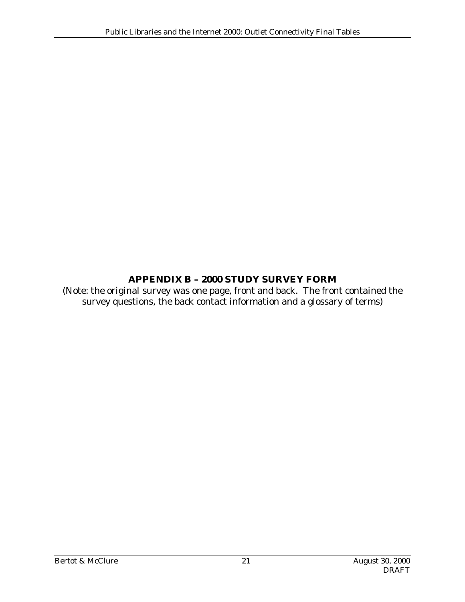#### **APPENDIX B – 2000 STUDY SURVEY FORM**

(Note: the original survey was one page, front and back. The front contained the survey questions, the back contact information and a glossary of terms)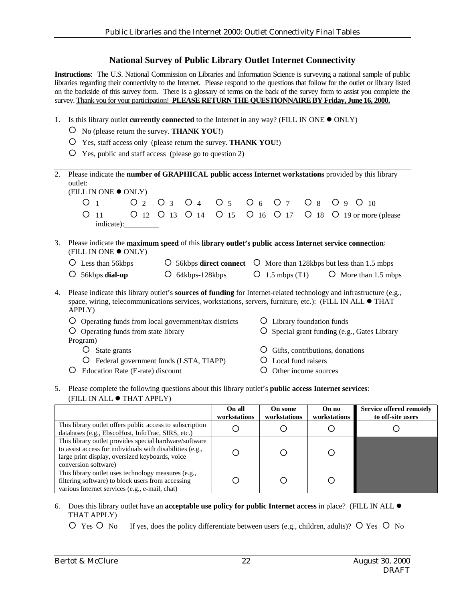#### **National Survey of Public Library Outlet Internet Connectivity**

**Instructions**: The U.S. National Commission on Libraries and Information Science is surveying a national sample of public libraries regarding their connectivity to the Internet. Please respond to the questions that follow for the outlet or library listed on the backside of this survey form. There is a glossary of terms on the back of the survey form to assist you complete the survey. Thank you for your participation! PLEASE RETURN THE QUESTIONNAIRE BY Friday, June 16, 2000.

- 1. Is this library outlet **currently connected** to the Internet in any way? (FILL IN ONE  $\bullet$  ONLY)
	- $\overline{O}$  No (please return the survey. **THANK YOU!**)
	- $\overline{O}$  Yes, staff access only (please return the survey. **THANK YOU!**)
	- $\overline{O}$  Yes, public and staff access (please go to question 2)

| 2. | Please indicate the number of GRAPHICAL public access Internet workstations provided by this library<br>outlet:                                                                                                                                         |                                                             |  |  |  |
|----|---------------------------------------------------------------------------------------------------------------------------------------------------------------------------------------------------------------------------------------------------------|-------------------------------------------------------------|--|--|--|
|    | (FILL IN ONE ● ONLY)                                                                                                                                                                                                                                    |                                                             |  |  |  |
|    | O <sub>2</sub><br>O                                                                                                                                                                                                                                     | O 3 O 4 O 5 O 6 O 7 O 8 O 9 O 10                            |  |  |  |
|    | ∩<br>-11<br>indicate):__________                                                                                                                                                                                                                        | O 12 O 13 O 14 O 15 O 16 O 17 O 18<br>O 19 or more (please) |  |  |  |
|    |                                                                                                                                                                                                                                                         |                                                             |  |  |  |
| 3. | Please indicate the maximum speed of this library outlet's public access Internet service connection:<br>(FILL IN ONE ● ONLY)                                                                                                                           |                                                             |  |  |  |
|    | Less than 56kbps<br>56kbps <b>direct connect</b> $\circ$ More than 128kbps but less than 1.5 mbps                                                                                                                                                       |                                                             |  |  |  |
|    | 64kbps-128kbps<br>56kbps dial-up<br>Ő                                                                                                                                                                                                                   | $O$ 1.5 mbps (T1)<br>O More than 1.5 mbps                   |  |  |  |
| 4. | Please indicate this library outlet's <b>sources of funding</b> for Internet-related technology and infrastructure (e.g.,<br>space, wiring, telecommunications services, workstations, servers, furniture, etc.): (FILL IN ALL $\bullet$ THAT<br>APPLY) |                                                             |  |  |  |
|    | Operating funds from local government/tax districts<br>Library foundation funds<br>Ő                                                                                                                                                                    |                                                             |  |  |  |
|    | Operating funds from state library                                                                                                                                                                                                                      | Special grant funding (e.g., Gates Library                  |  |  |  |
|    | Program)                                                                                                                                                                                                                                                |                                                             |  |  |  |
|    | State grants                                                                                                                                                                                                                                            | Gifts, contributions, donations                             |  |  |  |
|    | Federal government funds (LSTA, TIAPP)                                                                                                                                                                                                                  | Local fund raisers                                          |  |  |  |
|    | Education Rate (E-rate) discount                                                                                                                                                                                                                        | Other income sources                                        |  |  |  |

5. Please complete the following questions about this library outlet's **public access Internet services**: (FILL IN ALL  $\bullet$  THAT APPLY)

|                                                                                                                                                                                                | On all<br>workstations | On some<br>workstations | On no<br>workstations | Service offered remotely<br>to off-site users |
|------------------------------------------------------------------------------------------------------------------------------------------------------------------------------------------------|------------------------|-------------------------|-----------------------|-----------------------------------------------|
| This library outlet offers public access to subscription<br>databases (e.g., EbscoHost, InfoTrac, SIRS, etc.)                                                                                  |                        |                         |                       |                                               |
| This library outlet provides special hardware/software<br>to assist access for individuals with disabilities (e.g.,<br>large print display, oversized keyboards, voice<br>conversion software) |                        |                         |                       |                                               |
| This library outlet uses technology measures (e.g.,<br>filtering software) to block users from accessing<br>various Internet services (e.g., e-mail, chat)                                     |                        |                         |                       |                                               |

#### 6. Does this library outlet have an **acceptable use policy for public Internet access** in place? (FILL IN ALL ! THAT APPLY)

 $\overline{O}$  Yes  $\overline{O}$  No If yes, does the policy differentiate between users (e.g., children, adults)?  $\overline{O}$  Yes  $\overline{O}$  No